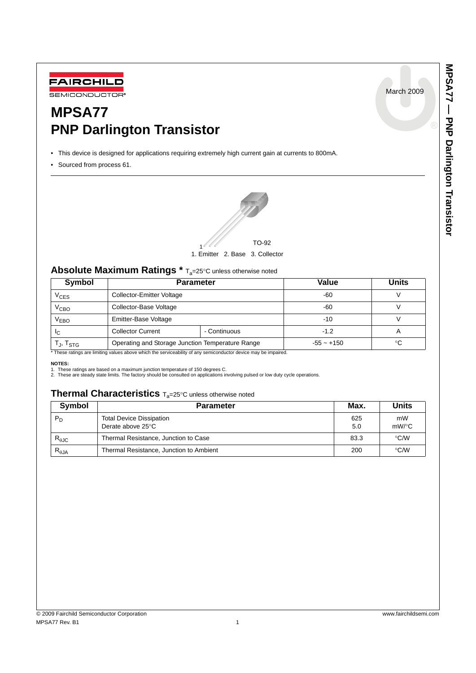March 2009



# **MPSA77 PNP Darlington Transistor**

• This device is designed for applications requiring extremely high current gain at currents to 800mA.

• Sourced from process 61.



## Absolute Maximum Ratings \* T<sub>a</sub>=25°C unless otherwise noted

| <b>Symbol</b>                                        | <b>Parameter</b>                                 |              | Value        | Units |
|------------------------------------------------------|--------------------------------------------------|--------------|--------------|-------|
| $\rm v_{\rm CES}$                                    | <b>Collector-Emitter Voltage</b>                 |              | -60          |       |
| $V_{\mathrm{CBO}}$                                   | Collector-Base Voltage                           |              | -60          |       |
| V <sub>EBO</sub>                                     | Emitter-Base Voltage                             |              | $-10$        |       |
| ЧC                                                   | <b>Collector Current</b>                         | - Continuous | $-1.2$       |       |
| $\mathsf{T}_{\mathsf{J}}, \mathsf{T}_{\mathsf{STG}}$ | Operating and Storage Junction Temperature Range |              | $-55 - +150$ | ∘∩    |

\* These ratings are limiting values above which the serviceability of any semiconductor device may be impaired.

#### **NOTES:**

1. These ratings are based on a maximum junction temperature of 150 degrees C. 2. These are steady state limits. The factory should be consulted on applications involving pulsed or low duty cycle operations.

## **Thermal Characteristics** Ta=25°<sup>C</sup> unless otherwise noted

| Symbol                  | <b>Parameter</b>                                     | Max.       | Units          |  |
|-------------------------|------------------------------------------------------|------------|----------------|--|
| $P_D$                   | <b>Total Device Dissipation</b><br>Derate above 25°C | 625<br>5.0 | mW<br>$mW$ /°C |  |
| $R_{\theta, \text{JC}}$ | Thermal Resistance, Junction to Case                 | 83.3       | $\degree$ C/W  |  |
| $R_{\theta$ JA          | Thermal Resistance, Junction to Ambient              | 200        | $\degree$ C/W  |  |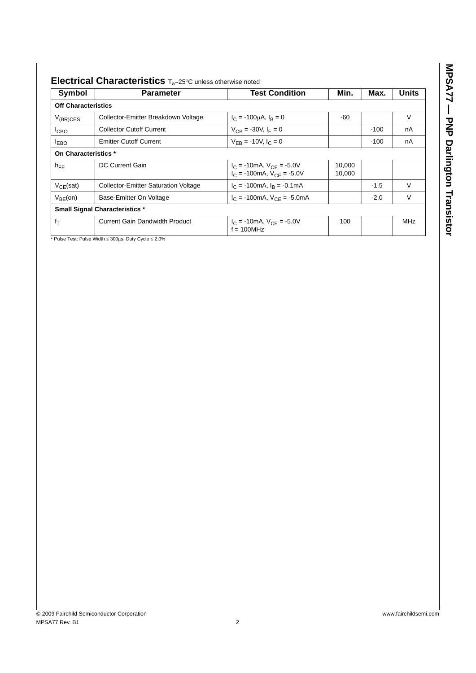| ֠       |
|---------|
|         |
|         |
|         |
|         |
|         |
| Ĺ<br>ı. |
|         |
| f       |
|         |
|         |
|         |
|         |
| ı       |
|         |
|         |
|         |
|         |
| ı       |
|         |
|         |
|         |

| <b>Symbol</b>              | <b>Parameter</b>                            | <b>Test Condition</b>                                                       | Min.             | Max.   | Units      |
|----------------------------|---------------------------------------------|-----------------------------------------------------------------------------|------------------|--------|------------|
| <b>Off Characteristics</b> |                                             |                                                                             |                  |        |            |
| $V_{(BR)CES}$              | Collector-Emitter Breakdown Voltage         | $I_C = -100 \mu A$ , $I_B = 0$                                              | -60              |        | V          |
| <sup>I</sup> CBO           | <b>Collector Cutoff Current</b>             | $V_{CB} = -30V, I_F = 0$                                                    |                  | $-100$ | nA         |
| <b>LEBO</b>                | <b>Emitter Cutoff Current</b>               | $V_{FB}$ = -10V, $I_C$ = 0                                                  |                  | $-100$ | nA         |
| On Characteristics *       |                                             |                                                                             |                  |        |            |
| $h_{FE}$                   | DC Current Gain                             | $I_C = -10mA$ , $V_{CE} = -5.0V$<br>$I_C = -100 \text{mA}, V_{CF} = -5.0 V$ | 10,000<br>10.000 |        |            |
| $V_{CF}$ (sat)             | <b>Collector-Emitter Saturation Voltage</b> | $I_C$ = -100mA, $I_R$ = -0.1mA                                              |                  | $-1.5$ | $\vee$     |
| $V_{BE}(on)$               | Base-Emitter On Voltage                     | $I_C = -100 \text{mA}, V_{CF} = -5.0 \text{mA}$                             |                  | $-2.0$ | $\vee$     |
|                            | <b>Small Signal Characteristics *</b>       |                                                                             |                  |        |            |
| $f_T$                      | <b>Current Gain Dandwidth Product</b>       | $I_C = -10mA$ , $V_{CE} = -5.0V$<br>$f = 100$ MHz                           | 100              |        | <b>MHz</b> |

\* Pulse Test: Pulse Width ≤ 300μs, Duty Cycle ≤ 2.0%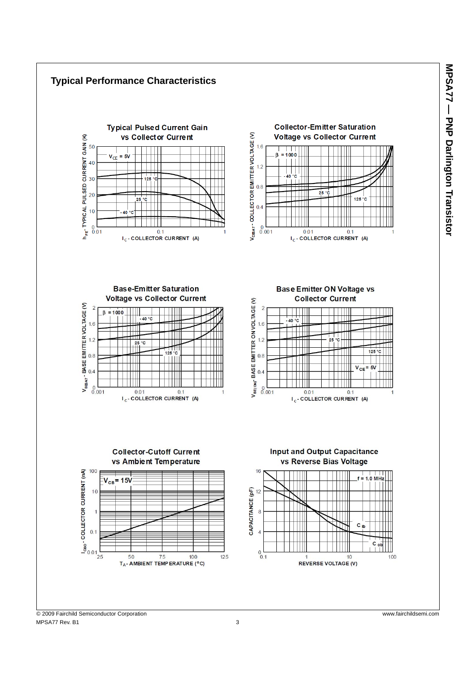

MPSA77 Rev. B1 3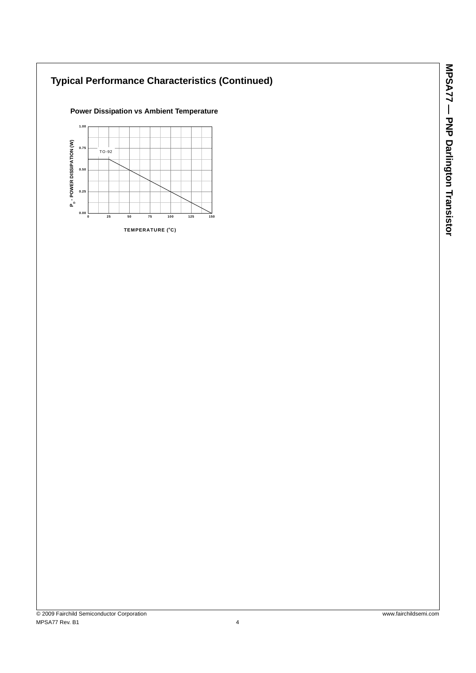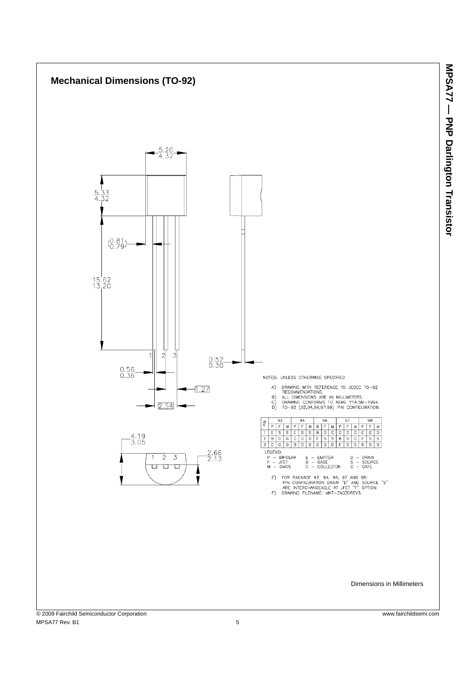